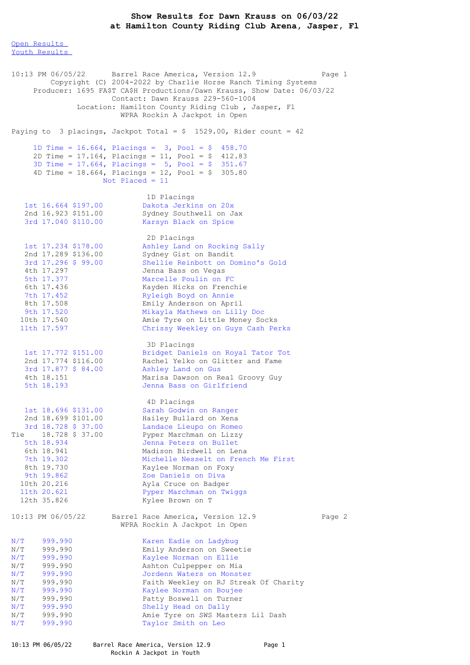## **Show Results for Dawn Krauss on 06/03/22 at Hamilton County Riding Club Arena, Jasper, Fl**

Open [Results](file:///C:/Users/flori/Downloads/Show_Results_Dawn_Krauss_06_03_22.html#Open) Youth [Results](file:///C:/Users/flori/Downloads/Show_Results_Dawn_Krauss_06_03_22.html#Youth)

10:13 PM 06/05/22 Barrel Race America, Version 12.9 Page 1 Copyright (C) 2004-2022 by Charlie Horse Ranch Timing Systems Producer: 1695 FA\$T CA\$H Productions/Dawn Krauss, Show Date: 06/03/22 Contact: Dawn Krauss 229-560-1004 Location: Hamilton County Riding Club , Jasper, Fl WPRA Rockin A Jackpot in Open Paying to 3 placings, Jackpot Total =  $$ 1529.00$ , Rider count = 42 1D Time = 16.664, Placings = 3, Pool = \$ 458.70 2D Time = 17.164, Placings = 11, Pool = \$ 412.83 3D Time = 17.664, Placings = 5, Pool = \$ 351.67 4D Time = 18.664, Placings = 12, Pool = \$ 305.80 Not Placed = 11 1D Placings 1st 16.664 \$197.00 Dakota Jerkins on 20x 2nd 16.923 \$151.00 Sydney Southwell on Jax 3rd 17.040 \$110.00 Karsyn Black on Spice 2D Placings 1st 17.234 \$178.00 Ashley Land on Rocking Sally 2nd 17.289 \$136.00 Sydney Gist on Bandit 3rd 17.296 \$ 99.00 Shellie Reinbott on Domino's Gold 4th 17.297 Jenna Bass on Vegas 5th 17.377 Marcelle Poulin on FC 6th 17.436 Kayden Hicks on Frenchie 7th 17.452 Ryleigh Boyd on Annie 8th 17.508 Emily Anderson on April 9th 17.520 Mikayla Mathews on Lilly Doc 10th 17.540 Amie Tyre on Little Money Socks 11th 17.597 Chrissy Weekley on Guys Cash Perks 3D Placings 1st 17.772 \$151.00 Bridget Daniels on Royal Tator Tot 2nd 17.774 \$116.00 Rachel Yelko on Glitter and Fame 3rd 17.877 \$ 84.00 Ashley Land on Gus 4th 18.151 Marisa Dawson on Real Groovy Guy 5th 18.193 Jenna Bass on Girlfriend 4D Placings 1st 18.696 \$131.00 Sarah Godwin on Ranger 2nd 18.699 \$101.00 Hailey Bullard on Xena 3rd 18.728 \$ 37.00 Landace Lieupo on Romeo Tie 18.728 \$ 37.00 Pyper Marchman on Lizzy 5th 18.934 Jenna Peters on Bullet 6th 18.941 Madison Birdwell on Lena 7th 19.302 Michelle Nesselt on French Me First 8th 19.730 Kaylee Norman on Foxy 9th 19.862 Zoe Daniels on Diva 10th 20.216 Ayla Cruce on Badger 11th 20.621 Pyper Marchman on Twiggs 12th 35.826 Kylee Brown on T 10:13 PM 06/05/22 Barrel Race America, Version 12.9 Page 2 WPRA Rockin A Jackpot in Open N/T 999.990 Karen Eadie on Ladybug<br>N/T 999.990 Emily Anderson on Swee N/T 999.990 Emily Anderson on Sweetie<br>N/T 999.990 Kaylee Norman on Ellie N/T 999.990 Kaylee Norman on Ellie<br>N/T 999.990 Ashton Culpepper on Mi N/T 999.990 Ashton Culpepper on Mia<br>N/T 999.990 Jordenn Waters on Monst N/T 999.990 Jordenn Waters on Monster<br>N/T 999.990 Faith Weekley on RJ Strea N/T 999.990 Faith Weekley on RJ Streak Of Charity N/T 999.990 Kaylee Norman on Boujee N/T 999.990 Patty Boswell on Turner N/T 999.990 Shelly Head on Dally N/T 999.990 Amie Tyre on SWS Masters Lil Dash N/T 999.990 Taylor Smith on Leo

10:13 PM 06/05/22 Barrel Race America, Version 12.9 Page 1

Rockin A Jackpot in Youth